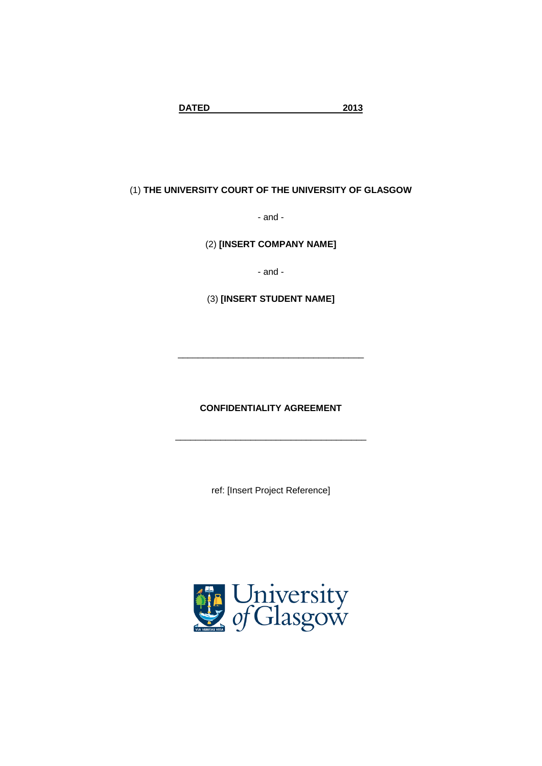**DATED 2013**

# (1) **THE UNIVERSITY COURT OF THE UNIVERSITY OF GLASGOW**

- and -

(2) **[INSERT COMPANY NAME]**

- and -

(3) **[INSERT STUDENT NAME]**

**CONFIDENTIALITY AGREEMENT**

\_\_\_\_\_\_\_\_\_\_\_\_\_\_\_\_\_\_\_\_\_\_\_\_\_\_\_\_\_\_\_\_\_\_\_\_\_\_

\_\_\_\_\_\_\_\_\_\_\_\_\_\_\_\_\_\_\_\_\_\_\_\_\_\_\_\_\_\_\_\_\_\_\_\_\_

ref: [Insert Project Reference]

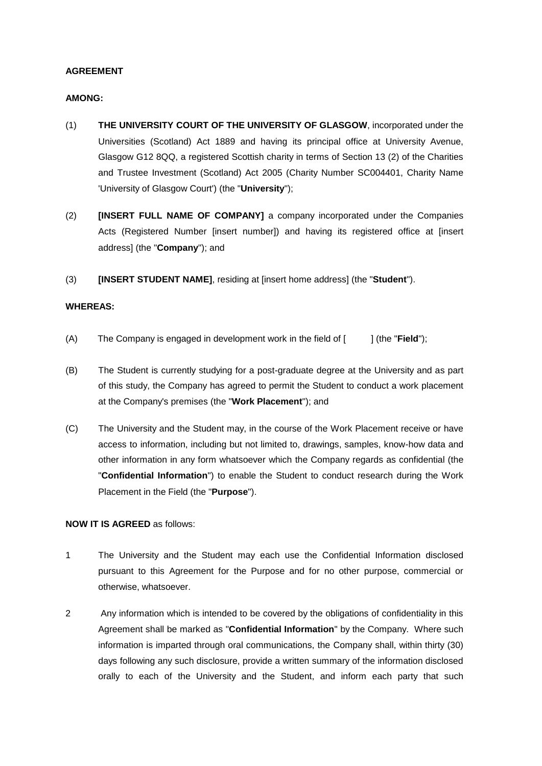## **AGREEMENT**

#### **AMONG:**

- (1) **THE UNIVERSITY COURT OF THE UNIVERSITY OF GLASGOW**, incorporated under the Universities (Scotland) Act 1889 and having its principal office at University Avenue, Glasgow G12 8QQ, a registered Scottish charity in terms of Section 13 (2) of the Charities and Trustee Investment (Scotland) Act 2005 (Charity Number SC004401, Charity Name 'University of Glasgow Court') (the "**University**");
- (2) **[INSERT FULL NAME OF COMPANY]** a company incorporated under the Companies Acts (Registered Number [insert number]) and having its registered office at [insert address] (the "**Company**"); and
- (3) **[INSERT STUDENT NAME]**, residing at [insert home address] (the "**Student**").

### **WHEREAS:**

- (A) The Company is engaged in development work in the field of [ ] (the "**Field**");
- (B) The Student is currently studying for a post-graduate degree at the University and as part of this study, the Company has agreed to permit the Student to conduct a work placement at the Company's premises (the "**Work Placement**"); and
- (C) The University and the Student may, in the course of the Work Placement receive or have access to information, including but not limited to, drawings, samples, know-how data and other information in any form whatsoever which the Company regards as confidential (the "**Confidential Information**") to enable the Student to conduct research during the Work Placement in the Field (the "**Purpose**").

## **NOW IT IS AGREED** as follows:

- 1 The University and the Student may each use the Confidential Information disclosed pursuant to this Agreement for the Purpose and for no other purpose, commercial or otherwise, whatsoever.
- 2 Any information which is intended to be covered by the obligations of confidentiality in this Agreement shall be marked as "**Confidential Information**" by the Company. Where such information is imparted through oral communications, the Company shall, within thirty (30) days following any such disclosure, provide a written summary of the information disclosed orally to each of the University and the Student, and inform each party that such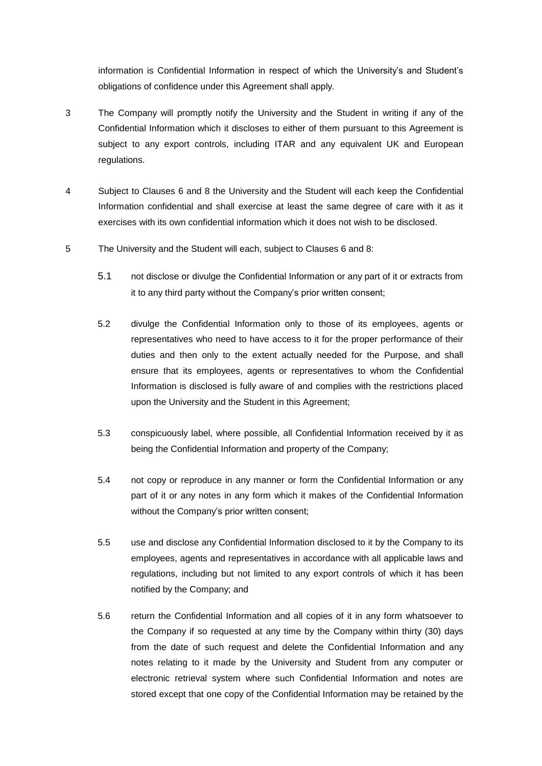information is Confidential Information in respect of which the University's and Student's obligations of confidence under this Agreement shall apply.

- 3 The Company will promptly notify the University and the Student in writing if any of the Confidential Information which it discloses to either of them pursuant to this Agreement is subject to any export controls, including ITAR and any equivalent UK and European regulations.
- 4 Subject to Clauses 6 and 8 the University and the Student will each keep the Confidential Information confidential and shall exercise at least the same degree of care with it as it exercises with its own confidential information which it does not wish to be disclosed.
- 5 The University and the Student will each, subject to Clauses 6 and 8:
	- 5.1 not disclose or divulge the Confidential Information or any part of it or extracts from it to any third party without the Company's prior written consent;
	- 5.2 divulge the Confidential Information only to those of its employees, agents or representatives who need to have access to it for the proper performance of their duties and then only to the extent actually needed for the Purpose, and shall ensure that its employees, agents or representatives to whom the Confidential Information is disclosed is fully aware of and complies with the restrictions placed upon the University and the Student in this Agreement;
	- 5.3 conspicuously label, where possible, all Confidential Information received by it as being the Confidential Information and property of the Company;
	- 5.4 not copy or reproduce in any manner or form the Confidential Information or any part of it or any notes in any form which it makes of the Confidential Information without the Company's prior written consent;
	- 5.5 use and disclose any Confidential Information disclosed to it by the Company to its employees, agents and representatives in accordance with all applicable laws and regulations, including but not limited to any export controls of which it has been notified by the Company; and
	- 5.6 return the Confidential Information and all copies of it in any form whatsoever to the Company if so requested at any time by the Company within thirty (30) days from the date of such request and delete the Confidential Information and any notes relating to it made by the University and Student from any computer or electronic retrieval system where such Confidential Information and notes are stored except that one copy of the Confidential Information may be retained by the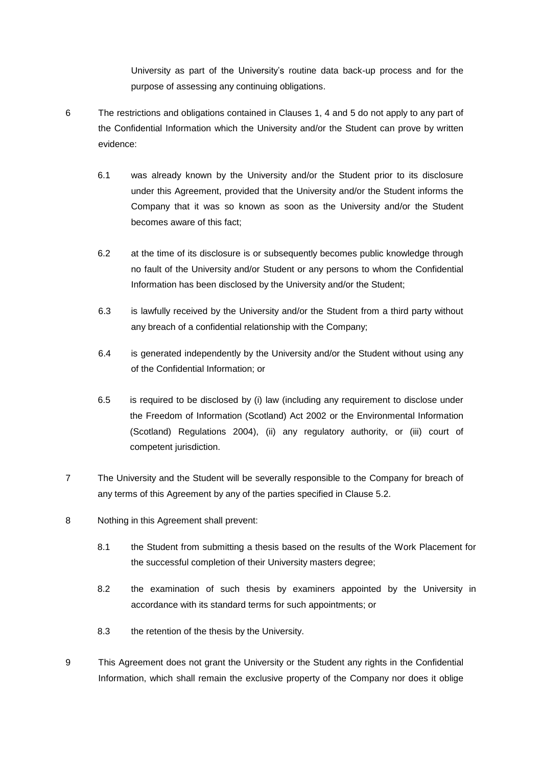University as part of the University's routine data back-up process and for the purpose of assessing any continuing obligations.

- 6 The restrictions and obligations contained in Clauses 1, 4 and 5 do not apply to any part of the Confidential Information which the University and/or the Student can prove by written evidence:
	- 6.1 was already known by the University and/or the Student prior to its disclosure under this Agreement, provided that the University and/or the Student informs the Company that it was so known as soon as the University and/or the Student becomes aware of this fact;
	- 6.2 at the time of its disclosure is or subsequently becomes public knowledge through no fault of the University and/or Student or any persons to whom the Confidential Information has been disclosed by the University and/or the Student;
	- 6.3 is lawfully received by the University and/or the Student from a third party without any breach of a confidential relationship with the Company;
	- 6.4 is generated independently by the University and/or the Student without using any of the Confidential Information; or
	- 6.5 is required to be disclosed by (i) law (including any requirement to disclose under the Freedom of Information (Scotland) Act 2002 or the Environmental Information (Scotland) Regulations 2004), (ii) any regulatory authority, or (iii) court of competent jurisdiction.
- 7 The University and the Student will be severally responsible to the Company for breach of any terms of this Agreement by any of the parties specified in Clause 5.2.
- 8 Nothing in this Agreement shall prevent:
	- 8.1 the Student from submitting a thesis based on the results of the Work Placement for the successful completion of their University masters degree;
	- 8.2 the examination of such thesis by examiners appointed by the University in accordance with its standard terms for such appointments; or
	- 8.3 the retention of the thesis by the University.
- 9 This Agreement does not grant the University or the Student any rights in the Confidential Information, which shall remain the exclusive property of the Company nor does it oblige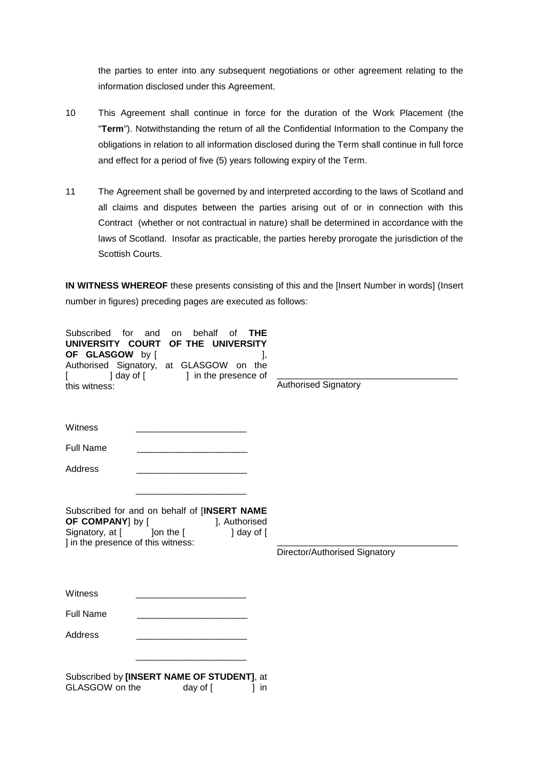the parties to enter into any subsequent negotiations or other agreement relating to the information disclosed under this Agreement.

- 10 This Agreement shall continue in force for the duration of the Work Placement (the "**Term**"). Notwithstanding the return of all the Confidential Information to the Company the obligations in relation to all information disclosed during the Term shall continue in full force and effect for a period of five (5) years following expiry of the Term.
- 11 The Agreement shall be governed by and interpreted according to the laws of Scotland and all claims and disputes between the parties arising out of or in connection with this Contract (whether or not contractual in nature) shall be determined in accordance with the laws of Scotland. Insofar as practicable, the parties hereby prorogate the jurisdiction of the Scottish Courts.

**IN WITNESS WHEREOF** these presents consisting of this and the [Insert Number in words] (Insert number in figures) preceding pages are executed as follows:

| Subscribed<br>for<br>UNIVERSITY COURT<br>OF GLASGOW by [<br>] day of [<br>this witness:                                                                               | and<br>behalf<br>THE<br>οf<br><b>on</b><br>OF THE<br>UNIVERSITY<br>Authorised Signatory, at GLASGOW<br>the<br>on<br>] in the presence of | <b>Authorised Signatory</b>   |
|-----------------------------------------------------------------------------------------------------------------------------------------------------------------------|------------------------------------------------------------------------------------------------------------------------------------------|-------------------------------|
| Witness                                                                                                                                                               |                                                                                                                                          |                               |
| <b>Full Name</b>                                                                                                                                                      |                                                                                                                                          |                               |
| Address                                                                                                                                                               |                                                                                                                                          |                               |
| Subscribed for and on behalf of [INSERT NAME<br>OF COMPANY] by [<br>], Authorised<br>Signatory, at [ ] ] on the [<br>] day of [<br>] in the presence of this witness: |                                                                                                                                          | Director/Authorised Signatory |
| Witness                                                                                                                                                               |                                                                                                                                          |                               |
| <b>Full Name</b>                                                                                                                                                      |                                                                                                                                          |                               |
| <b>Address</b>                                                                                                                                                        |                                                                                                                                          |                               |
| GLASGOW on the                                                                                                                                                        | Subscribed by [INSERT NAME OF STUDENT], at<br>day of [<br>1 in                                                                           |                               |